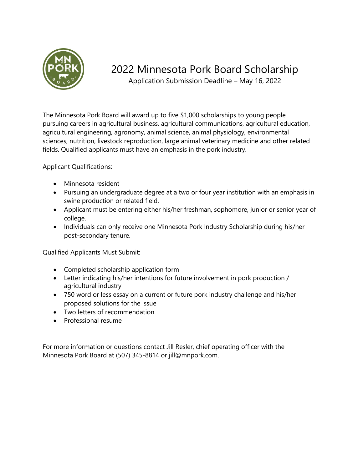

## 2022 Minnesota Pork Board Scholarship

Application Submission Deadline – May 16, 2022

The Minnesota Pork Board will award up to five \$1,000 scholarships to young people pursuing careers in agricultural business, agricultural communications, agricultural education, agricultural engineering, agronomy, animal science, animal physiology, environmental sciences, nutrition, livestock reproduction, large animal veterinary medicine and other related fields. Qualified applicants must have an emphasis in the pork industry.

Applicant Qualifications:

- Minnesota resident
- Pursuing an undergraduate degree at a two or four year institution with an emphasis in swine production or related field.
- Applicant must be entering either his/her freshman, sophomore, junior or senior year of college.
- Individuals can only receive one Minnesota Pork Industry Scholarship during his/her post-secondary tenure.

Qualified Applicants Must Submit:

- Completed scholarship application form
- Letter indicating his/her intentions for future involvement in pork production / agricultural industry
- 750 word or less essay on a current or future pork industry challenge and his/her proposed solutions for the issue
- Two letters of recommendation
- Professional resume

For more information or questions contact Jill Resler, chief operating officer with the Minnesota Pork Board at (507) 345-8814 or jill@mnpork.com.